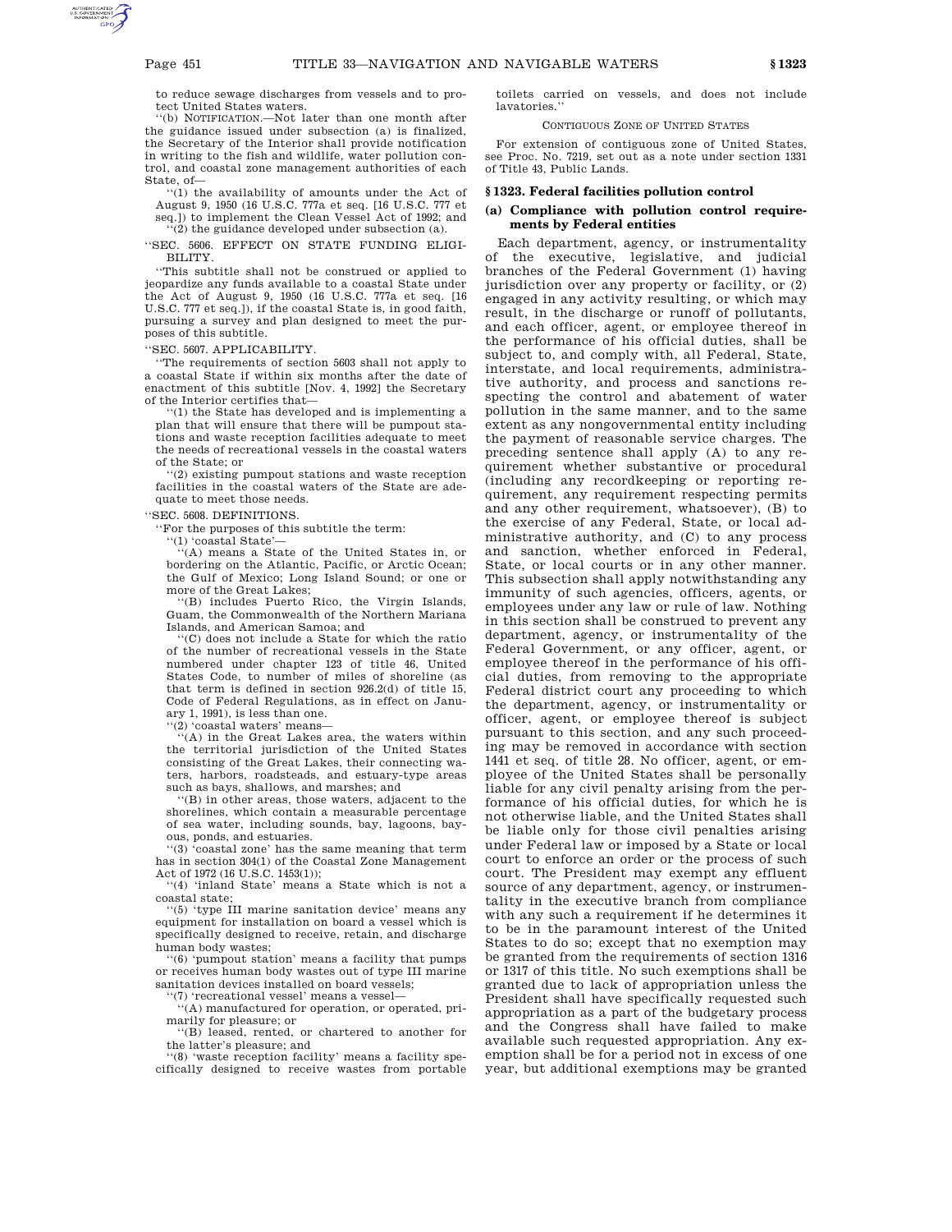to reduce sewage discharges from vessels and to protect United States waters.

''(b) NOTIFICATION.—Not later than one month after the guidance issued under subsection (a) is finalized, the Secretary of the Interior shall provide notification in writing to the fish and wildlife, water pollution control, and coastal zone management authorities of each State, of—

''(1) the availability of amounts under the Act of August 9, 1950 (16 U.S.C. 777a et seq. [16 U.S.C. 777 et seq.]) to implement the Clean Vessel Act of 1992; and '(2) the guidance developed under subsection (a).

''SEC. 5606. EFFECT ON STATE FUNDING ELIGI-BILITY.

''This subtitle shall not be construed or applied to jeopardize any funds available to a coastal State under the Act of August 9, 1950 (16 U.S.C. 777a et seq. [16 U.S.C. 777 et seq.]), if the coastal State is, in good faith, pursuing a survey and plan designed to meet the purposes of this subtitle.

''SEC. 5607. APPLICABILITY.

''The requirements of section 5603 shall not apply to a coastal State if within six months after the date of enactment of this subtitle [Nov. 4, 1992] the Secretary of the Interior certifies that—

'(1) the State has developed and is implementing a plan that will ensure that there will be pumpout stations and waste reception facilities adequate to meet the needs of recreational vessels in the coastal waters of the State; or

''(2) existing pumpout stations and waste reception facilities in the coastal waters of the State are adequate to meet those needs.

''SEC. 5608. DEFINITIONS.

''For the purposes of this subtitle the term:

''(1) 'coastal State'—

''(A) means a State of the United States in, or bordering on the Atlantic, Pacific, or Arctic Ocean; the Gulf of Mexico; Long Island Sound; or one or more of the Great Lakes;

''(B) includes Puerto Rico, the Virgin Islands, Guam, the Commonwealth of the Northern Mariana Islands, and American Samoa; and

''(C) does not include a State for which the ratio of the number of recreational vessels in the State numbered under chapter 123 of title 46, United States Code, to number of miles of shoreline (as that term is defined in section 926.2(d) of title 15, Code of Federal Regulations, as in effect on January 1, 1991), is less than one.

''(2) 'coastal waters' means—

''(A) in the Great Lakes area, the waters within the territorial jurisdiction of the United States consisting of the Great Lakes, their connecting waters, harbors, roadsteads, and estuary-type areas such as bays, shallows, and marshes; and

''(B) in other areas, those waters, adjacent to the shorelines, which contain a measurable percentage of sea water, including sounds, bay, lagoons, bayous, ponds, and estuaries.

''(3) 'coastal zone' has the same meaning that term has in section 304(1) of the Coastal Zone Management Act of 1972 (16 U.S.C. 1453(1));

''(4) 'inland State' means a State which is not a coastal state;

''(5) 'type III marine sanitation device' means any equipment for installation on board a vessel which is specifically designed to receive, retain, and discharge human body wastes;

''(6) 'pumpout station' means a facility that pumps or receives human body wastes out of type III marine sanitation devices installed on board vessels;

'(7) 'recreational vessel' means a vessel-

''(A) manufactured for operation, or operated, pri-

marily for pleasure; or<br>"(B) leased, rented, or chartered to another for the latter's pleasure; and

''(8) 'waste reception facility' means a facility specifically designed to receive wastes from portable toilets carried on vessels, and does not include lavatories.''

CONTIGUOUS ZONE OF UNITED STATES

For extension of contiguous zone of United States, see Proc. No. 7219, set out as a note under section 1331 of Title 43, Public Lands.

#### **§ 1323. Federal facilities pollution control**

# **(a) Compliance with pollution control requirements by Federal entities**

Each department, agency, or instrumentality of the executive, legislative, and judicial branches of the Federal Government (1) having jurisdiction over any property or facility, or (2) engaged in any activity resulting, or which may result, in the discharge or runoff of pollutants, and each officer, agent, or employee thereof in the performance of his official duties, shall be subject to, and comply with, all Federal, State, interstate, and local requirements, administrative authority, and process and sanctions respecting the control and abatement of water pollution in the same manner, and to the same extent as any nongovernmental entity including the payment of reasonable service charges. The preceding sentence shall apply (A) to any requirement whether substantive or procedural (including any recordkeeping or reporting requirement, any requirement respecting permits and any other requirement, whatsoever), (B) to the exercise of any Federal, State, or local administrative authority, and (C) to any process and sanction, whether enforced in Federal, State, or local courts or in any other manner. This subsection shall apply notwithstanding any immunity of such agencies, officers, agents, or employees under any law or rule of law. Nothing in this section shall be construed to prevent any department, agency, or instrumentality of the Federal Government, or any officer, agent, or employee thereof in the performance of his official duties, from removing to the appropriate Federal district court any proceeding to which the department, agency, or instrumentality or officer, agent, or employee thereof is subject pursuant to this section, and any such proceeding may be removed in accordance with section 1441 et seq. of title 28. No officer, agent, or employee of the United States shall be personally liable for any civil penalty arising from the performance of his official duties, for which he is not otherwise liable, and the United States shall be liable only for those civil penalties arising under Federal law or imposed by a State or local court to enforce an order or the process of such court. The President may exempt any effluent source of any department, agency, or instrumentality in the executive branch from compliance with any such a requirement if he determines it to be in the paramount interest of the United States to do so; except that no exemption may be granted from the requirements of section 1316 or 1317 of this title. No such exemptions shall be granted due to lack of appropriation unless the President shall have specifically requested such appropriation as a part of the budgetary process and the Congress shall have failed to make available such requested appropriation. Any exemption shall be for a period not in excess of one year, but additional exemptions may be granted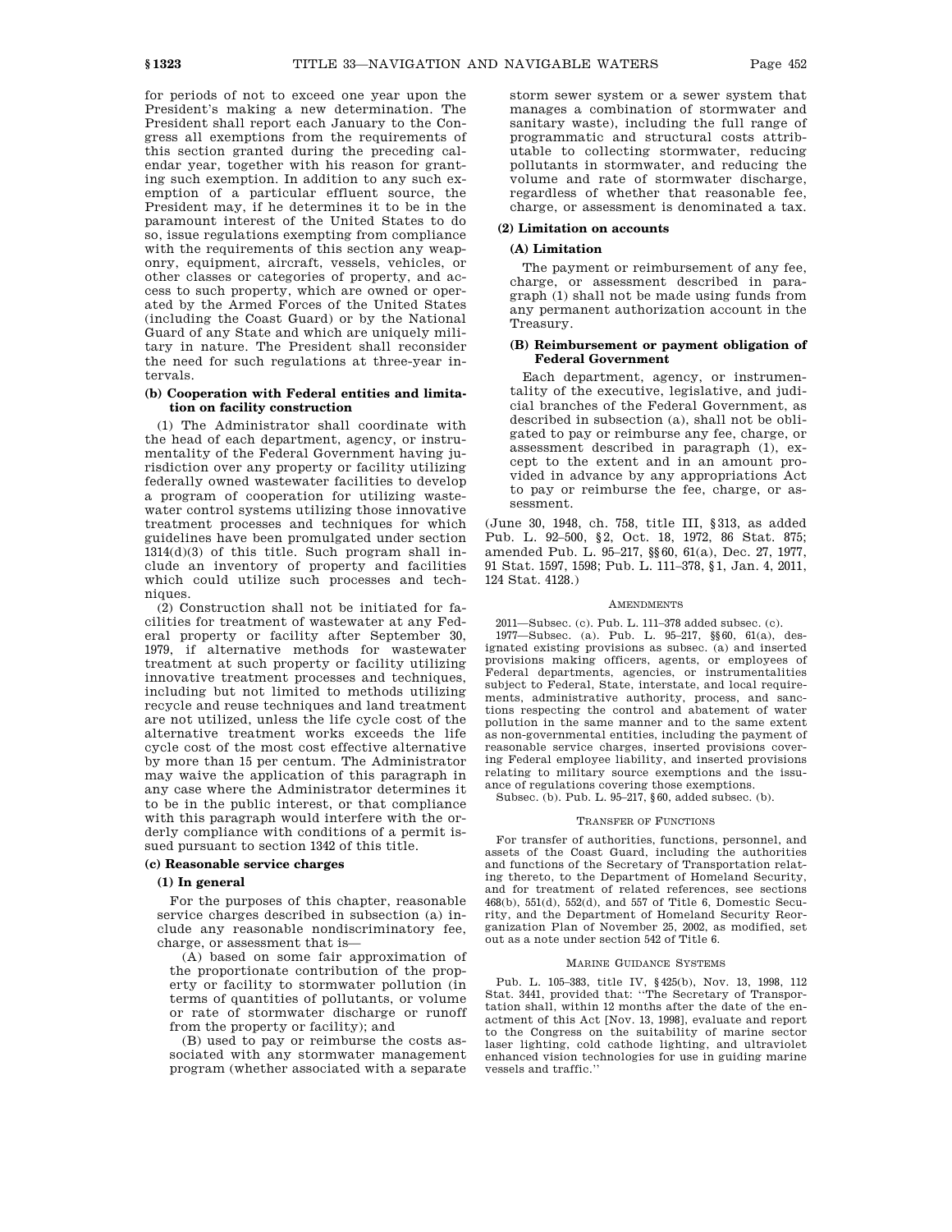for periods of not to exceed one year upon the President's making a new determination. The President shall report each January to the Congress all exemptions from the requirements of this section granted during the preceding calendar year, together with his reason for granting such exemption. In addition to any such exemption of a particular effluent source, the President may, if he determines it to be in the paramount interest of the United States to do so, issue regulations exempting from compliance with the requirements of this section any weaponry, equipment, aircraft, vessels, vehicles, or other classes or categories of property, and access to such property, which are owned or operated by the Armed Forces of the United States (including the Coast Guard) or by the National Guard of any State and which are uniquely military in nature. The President shall reconsider the need for such regulations at three-year intervals.

# **(b) Cooperation with Federal entities and limitation on facility construction**

(1) The Administrator shall coordinate with the head of each department, agency, or instrumentality of the Federal Government having jurisdiction over any property or facility utilizing federally owned wastewater facilities to develop a program of cooperation for utilizing wastewater control systems utilizing those innovative treatment processes and techniques for which guidelines have been promulgated under section 1314(d)(3) of this title. Such program shall include an inventory of property and facilities which could utilize such processes and techniques.

(2) Construction shall not be initiated for facilities for treatment of wastewater at any Federal property or facility after September 30, 1979, if alternative methods for wastewater treatment at such property or facility utilizing innovative treatment processes and techniques, including but not limited to methods utilizing recycle and reuse techniques and land treatment are not utilized, unless the life cycle cost of the alternative treatment works exceeds the life cycle cost of the most cost effective alternative by more than 15 per centum. The Administrator may waive the application of this paragraph in any case where the Administrator determines it to be in the public interest, or that compliance with this paragraph would interfere with the orderly compliance with conditions of a permit issued pursuant to section 1342 of this title.

# **(c) Reasonable service charges**

#### **(1) In general**

For the purposes of this chapter, reasonable service charges described in subsection (a) include any reasonable nondiscriminatory fee, charge, or assessment that is—

(A) based on some fair approximation of the proportionate contribution of the property or facility to stormwater pollution (in terms of quantities of pollutants, or volume or rate of stormwater discharge or runoff from the property or facility); and

(B) used to pay or reimburse the costs associated with any stormwater management program (whether associated with a separate storm sewer system or a sewer system that manages a combination of stormwater and sanitary waste), including the full range of programmatic and structural costs attributable to collecting stormwater, reducing pollutants in stormwater, and reducing the volume and rate of stormwater discharge, regardless of whether that reasonable fee, charge, or assessment is denominated a tax.

### **(2) Limitation on accounts**

# **(A) Limitation**

The payment or reimbursement of any fee, charge, or assessment described in paragraph (1) shall not be made using funds from any permanent authorization account in the Treasury.

### **(B) Reimbursement or payment obligation of Federal Government**

Each department, agency, or instrumentality of the executive, legislative, and judicial branches of the Federal Government, as described in subsection (a), shall not be obligated to pay or reimburse any fee, charge, or assessment described in paragraph (1), except to the extent and in an amount provided in advance by any appropriations Act to pay or reimburse the fee, charge, or assessment.

(June 30, 1948, ch. 758, title III, §313, as added Pub. L. 92–500, §2, Oct. 18, 1972, 86 Stat. 875; amended Pub. L. 95–217, §§60, 61(a), Dec. 27, 1977, 91 Stat. 1597, 1598; Pub. L. 111–378, §1, Jan. 4, 2011, 124 Stat. 4128.)

#### AMENDMENTS

2011—Subsec. (c). Pub. L. 111–378 added subsec. (c).

1977—Subsec. (a). Pub. L. 95–217, §§60, 61(a), designated existing provisions as subsec. (a) and inserted provisions making officers, agents, or employees of Federal departments, agencies, or instrumentalities subject to Federal, State, interstate, and local requirements, administrative authority, process, and sanctions respecting the control and abatement of water pollution in the same manner and to the same extent as non-governmental entities, including the payment of reasonable service charges, inserted provisions covering Federal employee liability, and inserted provisions relating to military source exemptions and the issuance of regulations covering those exemptions.

Subsec. (b). Pub. L. 95–217, §60, added subsec. (b).

# TRANSFER OF FUNCTIONS

For transfer of authorities, functions, personnel, and assets of the Coast Guard, including the authorities and functions of the Secretary of Transportation relating thereto, to the Department of Homeland Security, and for treatment of related references, see sections 468(b), 551(d), 552(d), and 557 of Title 6, Domestic Security, and the Department of Homeland Security Reorganization Plan of November 25, 2002, as modified, set out as a note under section 542 of Title 6.

#### MARINE GUIDANCE SYSTEMS

Pub. L. 105–383, title IV, §425(b), Nov. 13, 1998, 112 Stat. 3441, provided that: ''The Secretary of Transportation shall, within 12 months after the date of the enactment of this Act [Nov. 13, 1998], evaluate and report to the Congress on the suitability of marine sector laser lighting, cold cathode lighting, and ultraviolet enhanced vision technologies for use in guiding marine vessels and traffic.''